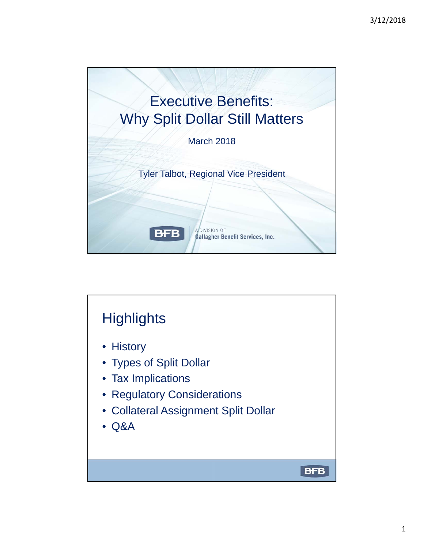

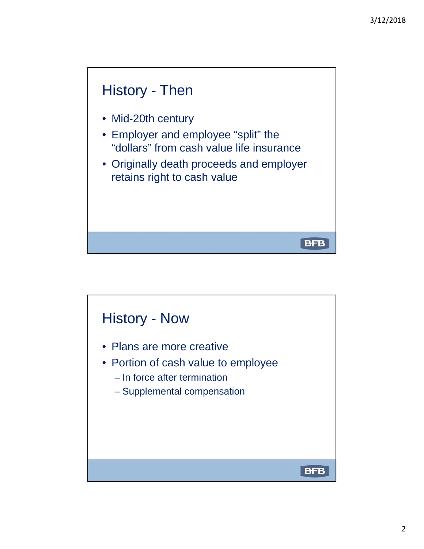

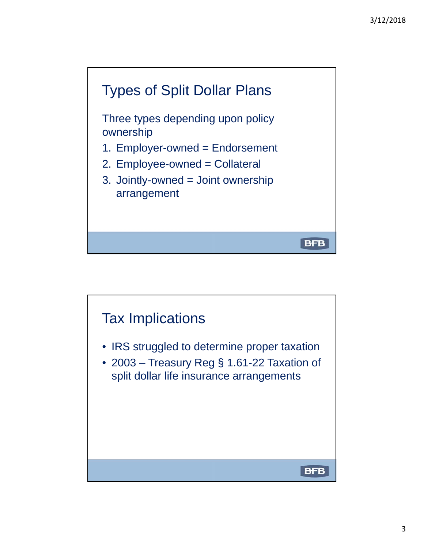

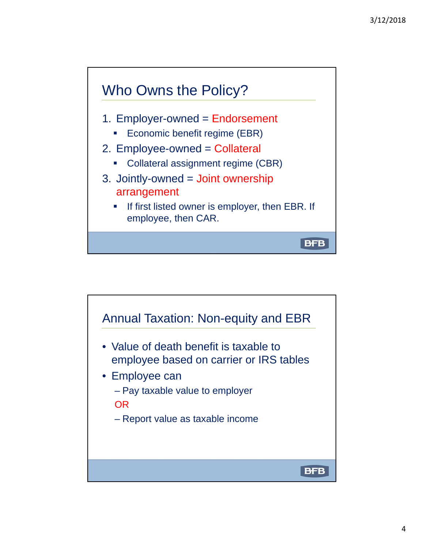

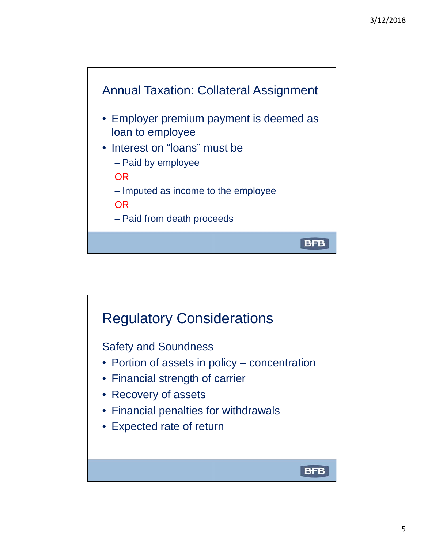

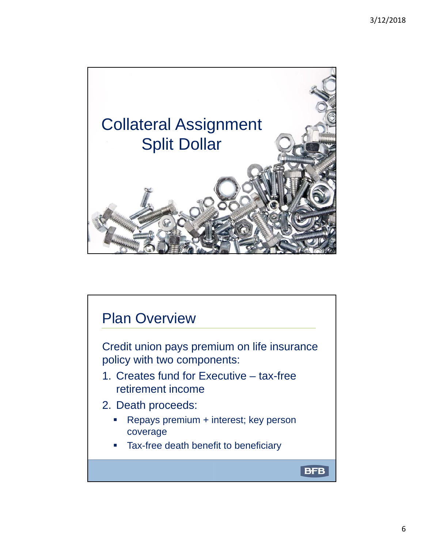

## Plan Overview Credit union pays premium on life insurance policy with two components: 1. Creates fund for Executive – tax-free retirement income 2. Death proceeds: **Repays premium + interest; key person** coverage Tax-free death benefit to beneficiary**BFB**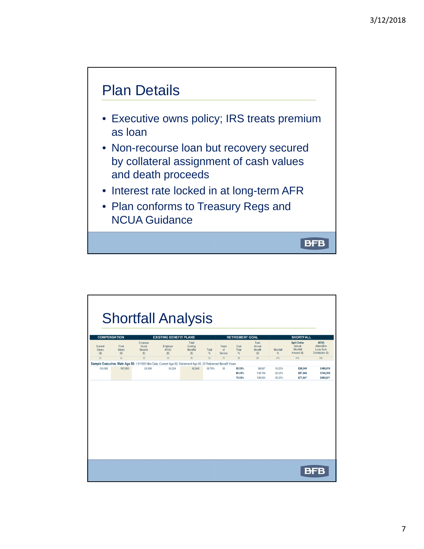**BFB** 



- Executive owns policy; IRS treats premium as loan
- Non-recourse loan but recovery secured by collateral assignment of cash values and death proceeds
- Interest rate locked in at long-term AFR
- Plan conforms to Treasury Regs and NCUA Guidance

|                          |                        |                           | <b>Shortfall Analysis</b>                                                                                                   |                                    |            |                        |                            |                              |                            |                                         |                                              |
|--------------------------|------------------------|---------------------------|-----------------------------------------------------------------------------------------------------------------------------|------------------------------------|------------|------------------------|----------------------------|------------------------------|----------------------------|-----------------------------------------|----------------------------------------------|
| <b>COMPENSATION</b>      |                        | Employer                  | <b>EXISTING BENEFIT PLANS</b>                                                                                               | Total                              |            |                        | <b>RETIREMENT GOAL</b>     | Total                        |                            | <b>SHORTFALL</b><br><b>Split Dollar</b> | 457(f)                                       |
| Current<br>Salary<br>(S) | Final<br>Salary<br>(S) | Social<br>Security<br>(S) | Employer<br>401(k)<br>(S)                                                                                                   | Existing<br><b>Benefits</b><br>(S) | Total<br>% | Years<br>of<br>Service | Goal<br>Total<br>%         | Annual<br>Benefit<br>(S)     | Shortfall<br>%             | Annual<br>Shortfall<br>Amount (\$)      | Alternative<br>Lump Sum<br>Distribution (\$) |
| (1)                      | (2)                    | (3)                       | (4)                                                                                                                         | (5)                                | (6)        | $\sigma$               | (8)                        | (9)                          | (10)                       | (11)                                    | (12)                                         |
| 100,000                  | 197,993                | 24,924                    | Sample Executive, Male Age 50; 1/1/1995 Hire Date, Current Age 50, Retirement Age 65, 20 Retirement Benefit Years<br>36.024 | 60,948                             | 30.78%     | 35                     | 50.00%<br>60,00%<br>70.00% | 98.997<br>118,796<br>138,595 | 19.22%<br>29.22%<br>39.22% | \$38,049<br>\$57,848<br>\$77,647        | \$486,919<br>\$740,295<br>\$993,671          |
|                          |                        |                           |                                                                                                                             |                                    |            |                        |                            |                              |                            |                                         |                                              |
|                          |                        |                           |                                                                                                                             |                                    |            |                        |                            |                              |                            |                                         |                                              |
|                          |                        |                           |                                                                                                                             |                                    |            |                        |                            |                              |                            |                                         |                                              |
|                          |                        |                           |                                                                                                                             |                                    |            |                        |                            |                              |                            |                                         |                                              |
|                          |                        |                           |                                                                                                                             |                                    |            |                        |                            |                              |                            |                                         |                                              |
|                          |                        |                           |                                                                                                                             |                                    |            |                        |                            |                              |                            |                                         |                                              |
|                          |                        |                           |                                                                                                                             |                                    |            |                        |                            |                              |                            |                                         |                                              |
|                          |                        |                           |                                                                                                                             |                                    |            |                        |                            |                              |                            |                                         |                                              |
|                          |                        |                           |                                                                                                                             |                                    |            |                        |                            |                              |                            |                                         |                                              |
|                          |                        |                           |                                                                                                                             |                                    |            |                        |                            |                              |                            | в                                       |                                              |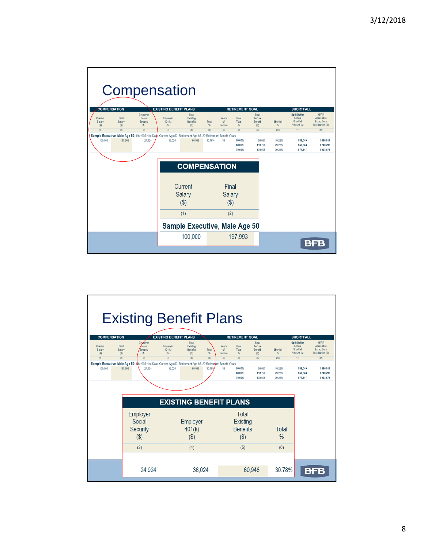| <b>COMPENSATION</b>      |                        |                                       | Compensation<br><b>EXISTING BENEFIT PLANS</b>                                                                                      |                                             |               |                            | <b>RETIREMENT GOAL</b>            |                                          |                                    | <b>SHORTFALL</b>                                          |                                                        |
|--------------------------|------------------------|---------------------------------------|------------------------------------------------------------------------------------------------------------------------------------|---------------------------------------------|---------------|----------------------------|-----------------------------------|------------------------------------------|------------------------------------|-----------------------------------------------------------|--------------------------------------------------------|
| Current<br>Salary<br>(S) | Final<br>Salary<br>(S) | Employer<br>Social<br>Security<br>(S) | Employer<br>401(k)<br>(S)                                                                                                          | Total<br>Existing<br><b>Benefits</b><br>(S) | Total<br>%    | Years<br>of<br>Service     | Goal<br>Total<br>%                | Total<br>Annual<br>Benefit<br>(S)<br>(9) | Shortfall<br>%                     | <b>Split Dollar</b><br>Annual<br>Shortfall<br>Amount (\$) | 457(f)<br>Alternative<br>Lump Sum<br>Distribution (\$) |
| (1)<br>100,000           | (2)<br>197.993         | (3)<br>24,924                         | (4)<br>Sample Executive, Male Age 50; 1/1/1995 Hire Dale, Current Age 50, Retirement Age 65, 20 Retirement Benefit Years<br>36.024 | (5)<br>60.948                               | (6)<br>30.78% | (7)<br>35                  | (8)<br>50,00%<br>60.00%<br>70.00% | 98.997<br>118,796<br>138,595             | (10)<br>19.22%<br>29.22%<br>39.22% | (11)<br>\$38,049<br>\$57,848<br>\$77,647                  | (12)<br>\$486,919<br>\$740,295<br>\$993,671            |
|                          |                        |                                       |                                                                                                                                    | <b>COMPENSATION</b>                         |               |                            |                                   |                                          |                                    |                                                           |                                                        |
|                          |                        |                                       | Current<br>Salary<br>$(\$\)$                                                                                                       |                                             |               | Final<br>Salary<br>$($ \$) |                                   |                                          |                                    |                                                           |                                                        |
|                          |                        |                                       |                                                                                                                                    | (1)<br>Sample Executive, Male Age 50        |               | (2)                        |                                   |                                          |                                    |                                                           |                                                        |
|                          |                        |                                       |                                                                                                                                    | 100,000                                     |               |                            | 197,993                           |                                          |                                    |                                                           | BH                                                     |

| <b>Existing Benefit Plans</b>                   |                                                                                                                               |                           |                                                                              |            |                                                       |                                              |                                          |                            |                                                                               |                                                        |
|-------------------------------------------------|-------------------------------------------------------------------------------------------------------------------------------|---------------------------|------------------------------------------------------------------------------|------------|-------------------------------------------------------|----------------------------------------------|------------------------------------------|----------------------------|-------------------------------------------------------------------------------|--------------------------------------------------------|
| <b>COMPENSATION</b><br>Current<br>Salary<br>(S) | Employer<br>$\chi$ ocial<br>Final<br>Salary<br>Security<br>(S)<br>(S)                                                         | Employer<br>401(k)<br>(S) | <b>EXISTING BENEFIT PLANS</b><br>Total<br>Existing<br><b>Benefits</b><br>(S) | Total<br>% | Years<br>of<br>Service                                | <b>RETIREMENT GOAL</b><br>Goal<br>Total<br>% | Total<br>Annual<br><b>Benefit</b><br>(S) | Shortfall<br>%             | <b>SHORTFALL</b><br><b>Split Dollar</b><br>Annual<br>Shortfall<br>Amount (\$) | 457(f)<br>Alternative<br>Lump Sum<br>Distribution (\$) |
| (1)                                             | (2)<br>(3)                                                                                                                    | (4)                       | (5)                                                                          | (6)        | $\sigma$                                              | (8)                                          | (9)                                      | (10)                       | (11)                                                                          | (12)                                                   |
| 100,000                                         | Sample Executive, Male Age 50; 11/1/1995 Hire Date, Current Age 50, Retirement Age 65, 20 Retirement Benefit Years<br>197.993 | 24,924                    | 36.024<br>60,948                                                             | 30.78%     | 35                                                    | 50.00%<br>60,00%<br>70.00%                   | 98.997<br>118.796<br>138.595             | 19.22%<br>29.22%<br>39.22% | \$38,049<br>\$57,848<br>\$77,647                                              | \$486,919<br>\$740,295<br>\$993,671                    |
|                                                 |                                                                                                                               |                           | <b>EXISTING BENEFIT PLANS</b>                                                |            |                                                       |                                              |                                          |                            |                                                                               |                                                        |
|                                                 | Employer<br>Social<br>Security<br>$($ \$)                                                                                     |                           | Employer<br>401(k)<br>(S)                                                    |            | Total<br><b>Existing</b><br><b>Benefits</b><br>$(\$)$ |                                              | Total<br>$\frac{0}{0}$                   |                            |                                                                               |                                                        |
|                                                 | (3)                                                                                                                           |                           | (4)                                                                          |            |                                                       | (5)                                          |                                          | (6)                        |                                                                               |                                                        |
|                                                 |                                                                                                                               | 24,924                    |                                                                              | 36.024     |                                                       |                                              | 60.948                                   | 30.78%                     |                                                                               | BFB                                                    |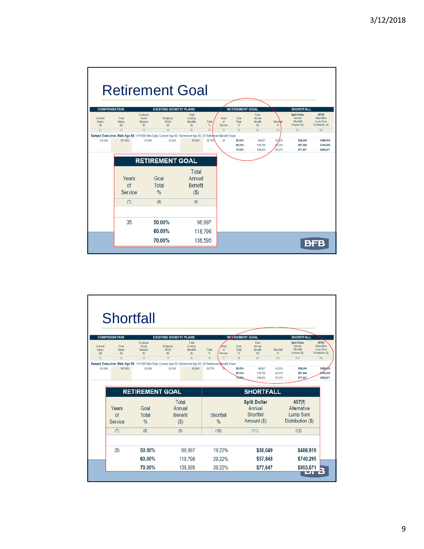|                          |                        | <b>Retirement Goal</b>                                                                                                                |                                             |                    |                        |                            |                                   |                           |                                                           |                                                        |
|--------------------------|------------------------|---------------------------------------------------------------------------------------------------------------------------------------|---------------------------------------------|--------------------|------------------------|----------------------------|-----------------------------------|---------------------------|-----------------------------------------------------------|--------------------------------------------------------|
| <b>COMPENSATION</b>      |                        |                                                                                                                                       | <b>EXISTING BENEFIT PLANS</b>               |                    |                        | <b>RETIREMENT GOAL</b>     |                                   |                           | <b>SHORTFALL</b>                                          |                                                        |
| Current<br>Salary<br>(S) | Final<br>Salary<br>(S) | Employer<br>Social<br>Employer<br>Security<br>401(k)<br>(S)<br>(S)                                                                    | Total<br>Existing<br><b>Benefits</b><br>(S) | Total<br>%         | Years<br>of<br>Service | Goal<br>Total<br>%         | Total<br>Annual<br>Benefit<br>(S) | Shorthall<br>%            | <b>Split Dollar</b><br>Annual<br>Shortfall<br>Amount (\$) | 457(f)<br>Alternative<br>Lump Sum<br>Distribution (\$) |
| (1)                      | (2)                    | (3)<br>(4)                                                                                                                            | (5)                                         | (6)                | (7)                    | (8)                        | (9)                               | (10)                      | (11)                                                      | (12)                                                   |
| 100,000                  | 197.993                | Sample Executive, Male Age 50; 1/1/1995 Hire Date, Current Age 50, Retirement Age 65, 20 Retirement Benefit Years<br>24.924<br>36.024 | 60.948                                      | 30.78%             | 35                     | 50,00%<br>60.00%<br>70.00% | 98.997<br>118,796<br>138,595      | 19.2%<br>20.22%<br>39.22% | \$38,049<br>\$57,848<br>\$77,647                          | \$486,919<br>\$740,295<br>\$993,671                    |
|                          |                        | <b>RETIREMENT GOAL</b>                                                                                                                |                                             |                    |                        |                            |                                   |                           |                                                           |                                                        |
|                          | Years<br>of<br>Service | Goal<br>Total<br>%                                                                                                                    | Total<br>Annual<br><b>Benefit</b><br>$(\$)$ |                    |                        |                            |                                   |                           |                                                           |                                                        |
|                          | (7)                    | (8)                                                                                                                                   | (9)                                         |                    |                        |                            |                                   |                           |                                                           |                                                        |
|                          | 35                     | 50.00%                                                                                                                                |                                             | 98,997             |                        |                            |                                   |                           |                                                           |                                                        |
|                          |                        | 60.00%<br>70.00%                                                                                                                      |                                             | 118,796<br>138,595 |                        |                            |                                   |                           |                                                           |                                                        |
|                          |                        |                                                                                                                                       |                                             |                    |                        |                            |                                   |                           |                                                           |                                                        |

|                          |                        | Shortfall                                                                                                                   |                               |                                             |            |                        |                            |                                            |                            |                                                           |                                                        |
|--------------------------|------------------------|-----------------------------------------------------------------------------------------------------------------------------|-------------------------------|---------------------------------------------|------------|------------------------|----------------------------|--------------------------------------------|----------------------------|-----------------------------------------------------------|--------------------------------------------------------|
|                          | <b>COMPENSATION</b>    |                                                                                                                             | <b>EXISTING BENEFIT PLANS</b> |                                             |            |                        | <b>RETIREMENT GOAL</b>     |                                            |                            | <b>SHORTFALL</b>                                          |                                                        |
| Current<br>Salary<br>(S) | Final<br>Salary<br>(S) | Employer<br>Social<br>Security<br>(S)                                                                                       | Employer<br>401(k)<br>(S)     | Total<br>Existing<br><b>Benefits</b><br>(S) | Total<br>% | Years<br>of<br>Service | Goal<br>Total<br>%         | Total<br>Annual<br>Benefit<br>(S)          | Shortfall<br>%             | <b>Split Dollar</b><br>Annual<br>Shortfall<br>Amount (\$) | 457(f)<br>Alternative<br>Lump Sum<br>Distribution (\$) |
| (1)                      | (2)                    | (3)                                                                                                                         | (4)                           | (5)                                         | (6)        | (7)                    | (8)                        | (9)                                        | (10)                       | (11)                                                      | (12)                                                   |
| 100,000                  | 197,993                | Sample Executive, Male Age 50; 1/1/1995 Hire Date, Current Age 50, Retirement Age 65, 20 Retirement Renefit Years<br>24,924 | 36.024                        | 60,948                                      | 30.78%     |                        | 50.00%<br>60,00%<br>70.80% | 98,997<br>118,796<br>138,595               | 19.22%<br>29.22%<br>39.22% | \$38,049<br>\$57,848<br>\$77,647                          | \$486,919<br>\$740,295<br>\$993,671                    |
|                          |                        | <b>RETIREMENT GOAL</b>                                                                                                      |                               |                                             |            |                        |                            | <b>SHORTFALL</b>                           |                            |                                                           |                                                        |
|                          | Years<br>of            | Goal<br>Total                                                                                                               | Annual                        | Total<br><b>Benefit</b>                     |            | Shortfall              |                            | <b>Split Dollar</b><br>Annual<br>Shortfall |                            | 457(f)<br>Alternative<br>Lump Sum                         |                                                        |
|                          | Service                | $\frac{0}{0}$                                                                                                               |                               | (S)                                         |            | $\frac{0}{0}$          |                            | Amount (\$)                                |                            | Distribution (\$)                                         |                                                        |
|                          | (7)                    | (8)                                                                                                                         |                               | (9)                                         |            | (10)                   |                            | (11)                                       |                            | (12)                                                      |                                                        |
|                          | 35                     | 50.00%                                                                                                                      |                               | 98,997                                      |            | 19 22%                 |                            | \$38,049                                   |                            | \$486,919                                                 |                                                        |
|                          |                        | 60.00%                                                                                                                      |                               | 118,796                                     |            | 29.22%                 |                            | \$57,848                                   |                            | \$740,295                                                 |                                                        |
|                          |                        | 70.00%                                                                                                                      |                               | 138,595                                     |            | 39.22%                 |                            | \$77,647                                   |                            | \$993,671                                                 |                                                        |
|                          |                        |                                                                                                                             |                               |                                             |            |                        |                            |                                            |                            |                                                           |                                                        |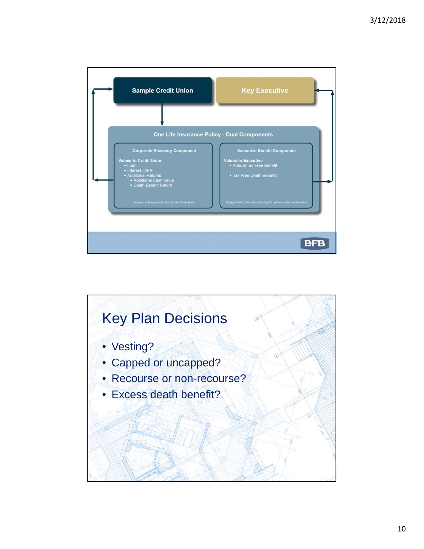

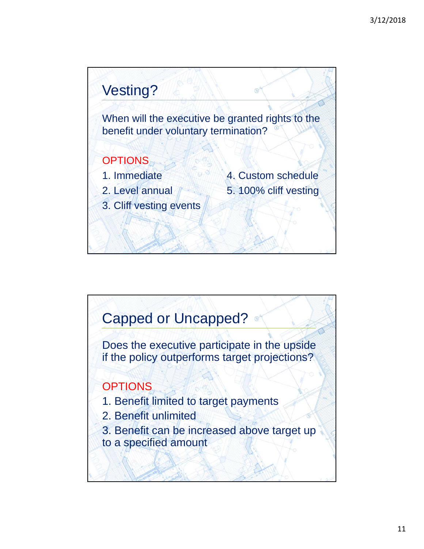

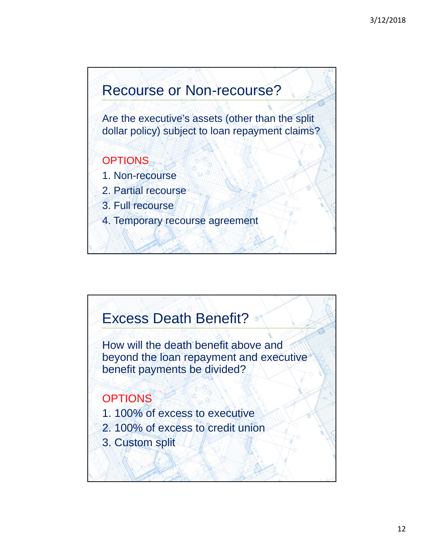

Are the executive's assets (other than the split dollar policy) subject to loan repayment claims?

## **OPTIONS**

- 1. Non-recourse
- 2. Partial recourse
- 3. Full recourse
- 4. Temporary recourse agreement



How will the death benefit above and beyond the loan repayment and executive benefit payments be divided?

## **OPTIONS**

- 1. 100% of excess to executive
- 2. 100% of excess to credit union
- 3. Custom split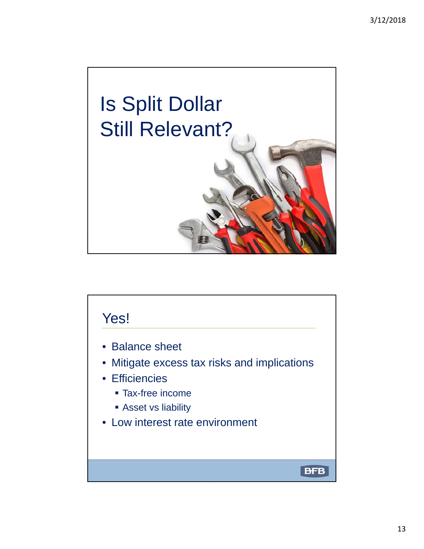